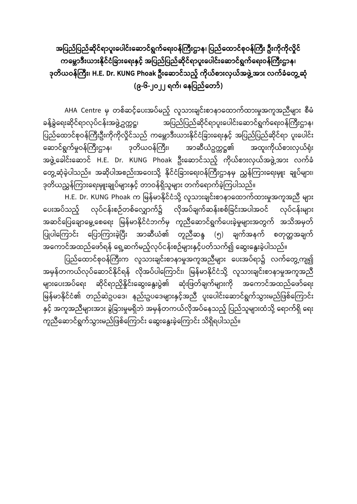အပြည်ပြည်ဆိုင်ရာပူးပေါင်းဆောင်ရွက်ရေးဝန်ကြီးဌာန၊ ပြည်ထောင်စုဝန်ကြီး ဦးကိုကိုလှိုင် ကမ္ဘောဒီးယားနိုင်ငံခြားရေးနှင့် အပြည်ပြည်ဆိုင်ရာပူးပေါင်းဆောင်ရွက်ရေးဝန်ကြီးဌာန၊ ဒုတိယဝန်ကြီး၊ H.E. Dr. KUNG Phoak ဦးဆောင်သည့် ကိုယ်စားလှယ်အဖွဲ့အား လက်ခံတွေ့ဆုံ **(၉-၆-၂၀၂၂ ရက်၊ ပနပြည်ပတာ်)**

AHA Centre မှ တစ်ဆင့်ပေးအပ်မည့် လူသားချင်းစာနာထောက်ထားမှုအကူအညီများ စီမံ ခန့်ခွဲရေးဆိုင်ရာလုပ်ငန်းအဖွဲ့ဥက္ကဋ္ဌ၊ အပြည်ပြည်ဆိုင်ရာပူးပေါင်းဆောင်ရွက်ရေးဝန်ကြီးဌာန၊ ပြည်ထောင်စုဝန်ကြီးဦးကိုကိုလှိုင်သည် ကမ္ဘောဒီးယားနိုင်ငံခြားရေးနှင့် အပြည်ပြည်ဆိုင်ရာ ပူးပေါင်း ဆောင်ရွက်မှုဝန်ကြီးဌာန၊ ဒုတိယဝန်ကြီး၊ အာဆီယံဥက္ကဋ္ဌ၏ အထူးကိုယ်စားလှယ်ရုံး အဖွဲ့ခေါင်းဆောင် H.E. Dr. KUNG Phoak ဦးဆောင်သည့် ကိုယ်စားလှယ်အဖွဲ့အား လက်ခံ တွေ့ဆုံခဲ့ပါသည်။ အဆိုပါအစည်းအဝေးသို့ နိုင်ငံခြားရေးဝန်ကြီးဌာနမှ ညွှန်ကြားရေးမျုး ချုပ်များ၊ ဒုတိယညွှန်ကြားရေးမှူးချုပ်များနှင့် တာဝန်ရှိသူများ တက်ရောက်ခဲ့ကြပါသည်။

H.E. Dr. KUNG Phoak က မြန်မာနိုင်ငံသို့ လူသားချင်းစာနာထောက်ထားမှုအကူအညီ များ ပေးအပ်သည့် လုပ်ငန်းစဉ်တစ်လျှောက်၌ လိုအပ်ချက်ဆန်းစစ်ခြင်းအပါအဝင် လုပ်ငန်းများ အဆင်ပြေချောမွေ့စေရေး မြန်မာနိုင်ငံဘက်မှ ကူညီဆောင်ရွက်ပေးခဲ့မှုများအတွက် အသိအမှတ် ပြုပါကြောင်း ပြောကြားခဲ့ပြီး အာဆီယံ၏ တူညီဆန္ဒ (၅) ချက်အနက် စတုတ္ထအချက် အကောင်အထည်ဖော်ရန် ရှေ့ဆက်မည့်လုပ်ငန်းစဉ်များနှင့်ပတ်သက်၍ ဆွေးနွေးခဲ့ပါသည်။

ပြည်ထောင်စုဝန်ကြီးက လူသားချင်းစာနာမှုအကူအညီများ ပေးအပ်ရာ၌ လက်တွေ့ကျ၍ အမှန်တကယ်လုပ်ဆောင်နိုင်ရန် လိုအပ်ပါကြောင်း၊ မြန်မာနိုင်ငံသို့ လူသားချင်းစာနာမှုအကူအညီ များပေးအပ်ရေး ဆိုင်ရာညှိနှိုင်းဆွေးနွေးပွဲ၏ ဆုံးဖြတ်ချက်များကို အကောင်အထည်ဖော်ရေး မြန်မာနိုင်ငံ၏ တည်ဆဲဥပဒေ၊ နည်းဥပဒေများနှင့်အညီ ပူးပေါင်းဆောင်ရွက်သွားမည်ဖြစ်ကြောင်း နှင့် အကူအညီများအား ခွဲခြားမှုမရှိဘဲ အမှန်တကယ်လိုအပ်နေသည့် ပြည်သူများထံသို့ ရောက်ရှိ ရေး ကူညီဆောင်ရွက်သွားမည်ဖြစ်ကြောင်း ဆွေးနွေးခဲ့ကြောင်း သိရှိရပါသည်။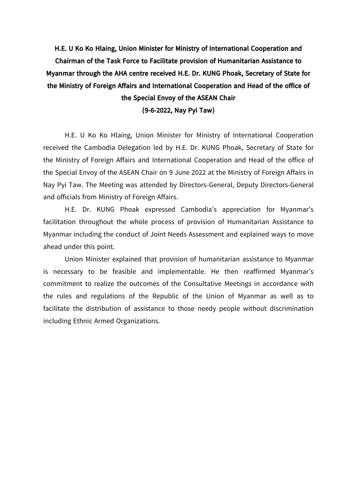**H.E. U Ko Ko Hlaing, Union Minister for Ministry of International Cooperation and Chairman of the Task Force to Facilitate provision of Humanitarian Assistance to Myanmar through the AHA centre received H.E. Dr. KUNG Phoak, Secretary of State for the Ministry of Foreign Affairs and International Cooperation and Head of the office of the Special Envoy of the ASEAN Chair**

**(9-6-2022, Nay Pyi Taw)**

H.E. U Ko Ko Hlaing, Union Minister for Ministry of International Cooperation received the Cambodia Delegation led by H.E. Dr. KUNG Phoak, Secretary of State for the Ministry of Foreign Affairs and International Cooperation and Head of the office of the Special Envoy of the ASEAN Chair on 9 June 2022 at the Ministry of Foreign Affairs in Nay Pyi Taw. The Meeting was attended by Directors-General, Deputy Directors-General and officials from Ministry of Foreign Affairs.

H.E. Dr. KUNG Phoak expressed Cambodia's appreciation for Myanmar's facilitation throughout the whole process of provision of Humanitarian Assistance to Myanmar including the conduct of Joint Needs Assessment and explained ways to move ahead under this point.

Union Minister explained that provision of humanitarian assistance to Myanmar is necessary to be feasible and implementable. He then reaffirmed Myanmar's commitment to realize the outcomes of the Consultative Meetings in accordance with the rules and regulations of the Republic of the Union of Myanmar as well as to facilitate the distribution of assistance to those needy people without discrimination including Ethnic Armed Organizations.